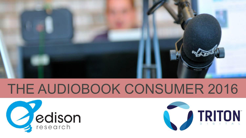

# THE AUDIOBOOK CONSUMER 2016



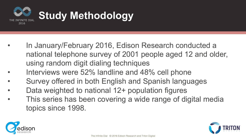

- In January/February 2016, Edison Research conducted a national telephone survey of 2001 people aged 12 and older, using random digit dialing techniques
- Interviews were 52% landline and 48% cell phone
- Survey offered in both English and Spanish languages
- Data weighted to national 12+ population figures
- This series has been covering a wide range of digital media topics since 1998.



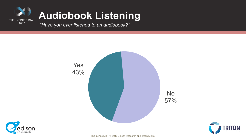

#### **Audiobook Listening**

*"Have you ever listened to an audiobook?"* 





The Infinite Dial © 2016 Edison Research and Triton Digital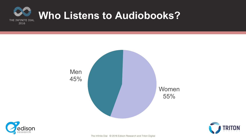







The Infinite Dial © 2016 Edison Research and Triton Digital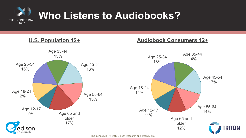

**U.S. Population 12+** 

#### **Audiobook Consumers 12+**

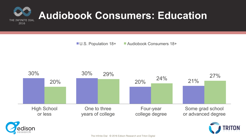

■ U.S. Population 18+ ■ Audiobook Consumers 18+

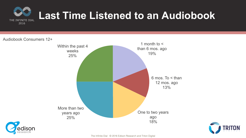

#### **Last Time Listened to an Audiobook**

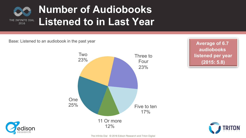

#### **Number of Audiobooks Listened to in Last Year**

Base: Listened to an audiobook in the past year



**Average of 6.7 audiobooks listened per year (2015: 5.8)** 



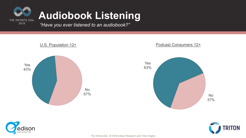

### **Audiobook Listening**

*"Have you ever listened to an audiobook?"* 







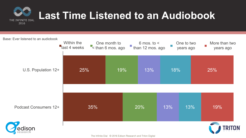

## **Last Time Listened to an Audiobook**